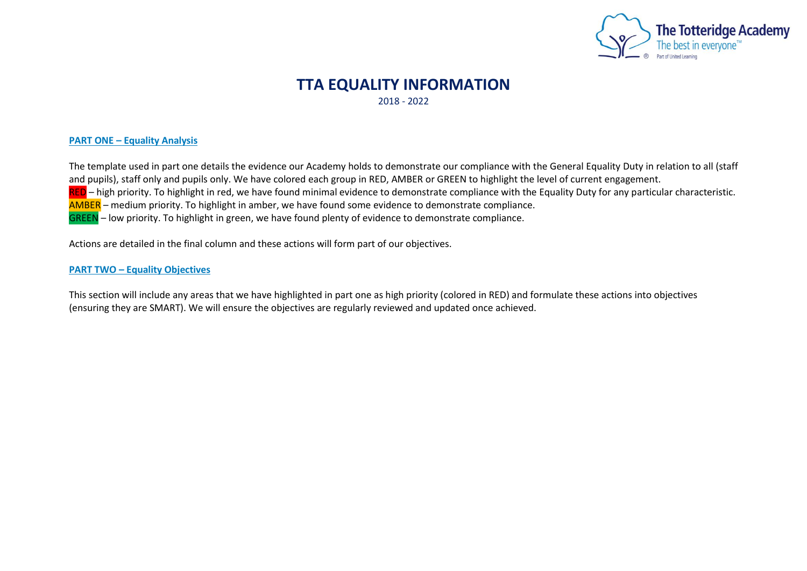

## **TTA EQUALITY INFORMATION** 2018 - 2022

## **PART ONE – Equality Analysis**

The template used in part one details the evidence our Academy holds to demonstrate our compliance with the General Equality Duty in relation to all (staff and pupils), staff only and pupils only. We have colored each group in RED, AMBER or GREEN to highlight the level of current engagement. RED – high priority. To highlight in red, we have found minimal evidence to demonstrate compliance with the Equality Duty for any particular characteristic. AMBER – medium priority. To highlight in amber, we have found some evidence to demonstrate compliance. GREEN – low priority. To highlight in green, we have found plenty of evidence to demonstrate compliance.

Actions are detailed in the final column and these actions will form part of our objectives.

## **PART TWO – Equality Objectives**

This section will include any areas that we have highlighted in part one as high priority (colored in RED) and formulate these actions into objectives (ensuring they are SMART). We will ensure the objectives are regularly reviewed and updated once achieved.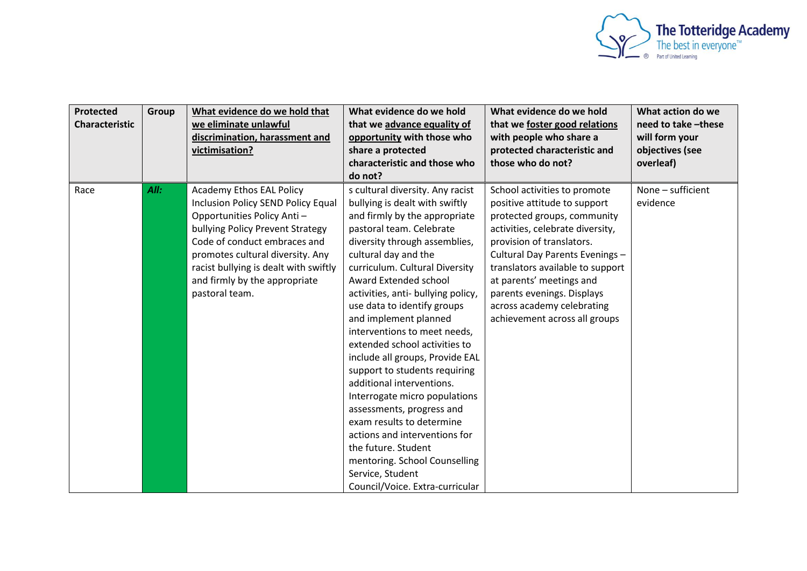

| <b>Protected</b><br><b>Characteristic</b> | Group | What evidence do we hold that<br>we eliminate unlawful<br>discrimination, harassment and<br>victimisation?                                                                                                                                                                                              | What evidence do we hold<br>that we advance equality of<br>opportunity with those who<br>share a protected<br>characteristic and those who<br>do not?                                                                                                                                                                                                                                                                                                                                                                                                                                                                                                                                                                                                          | What evidence do we hold<br>that we foster good relations<br>with people who share a<br>protected characteristic and<br>those who do not?                                                                                                                                                                                                                    | What action do we<br>need to take -these<br>will form your<br>objectives (see<br>overleaf) |
|-------------------------------------------|-------|---------------------------------------------------------------------------------------------------------------------------------------------------------------------------------------------------------------------------------------------------------------------------------------------------------|----------------------------------------------------------------------------------------------------------------------------------------------------------------------------------------------------------------------------------------------------------------------------------------------------------------------------------------------------------------------------------------------------------------------------------------------------------------------------------------------------------------------------------------------------------------------------------------------------------------------------------------------------------------------------------------------------------------------------------------------------------------|--------------------------------------------------------------------------------------------------------------------------------------------------------------------------------------------------------------------------------------------------------------------------------------------------------------------------------------------------------------|--------------------------------------------------------------------------------------------|
| Race                                      | All:  | <b>Academy Ethos EAL Policy</b><br>Inclusion Policy SEND Policy Equal<br>Opportunities Policy Anti-<br>bullying Policy Prevent Strategy<br>Code of conduct embraces and<br>promotes cultural diversity. Any<br>racist bullying is dealt with swiftly<br>and firmly by the appropriate<br>pastoral team. | s cultural diversity. Any racist<br>bullying is dealt with swiftly<br>and firmly by the appropriate<br>pastoral team. Celebrate<br>diversity through assemblies,<br>cultural day and the<br>curriculum. Cultural Diversity<br>Award Extended school<br>activities, anti- bullying policy,<br>use data to identify groups<br>and implement planned<br>interventions to meet needs,<br>extended school activities to<br>include all groups, Provide EAL<br>support to students requiring<br>additional interventions.<br>Interrogate micro populations<br>assessments, progress and<br>exam results to determine<br>actions and interventions for<br>the future. Student<br>mentoring. School Counselling<br>Service, Student<br>Council/Voice. Extra-curricular | School activities to promote<br>positive attitude to support<br>protected groups, community<br>activities, celebrate diversity,<br>provision of translators.<br>Cultural Day Parents Evenings -<br>translators available to support<br>at parents' meetings and<br>parents evenings. Displays<br>across academy celebrating<br>achievement across all groups | None - sufficient<br>evidence                                                              |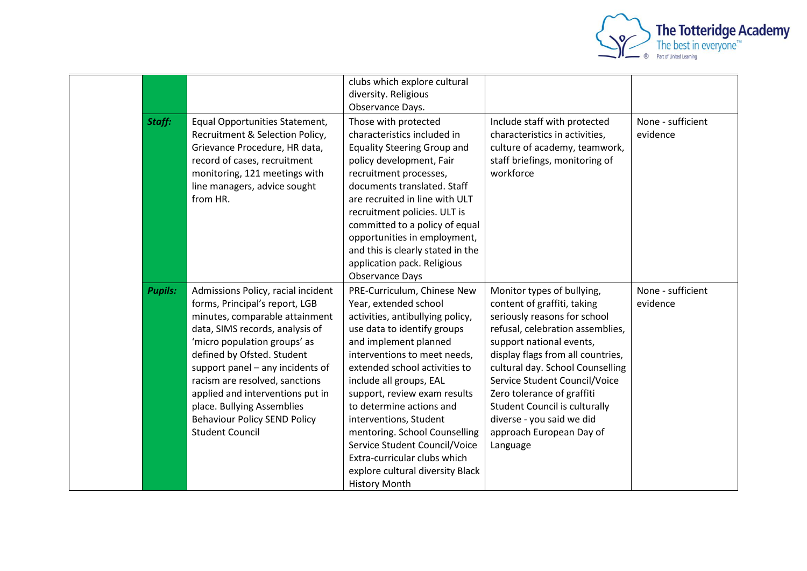

|                |                                                                                                                                                                                                                                                                                                                                                                                                                  | clubs which explore cultural<br>diversity. Religious<br>Observance Days.                                                                                                                                                                                                                                                                                                                                                                                                                         |                                                                                                                                                                                                                                                                                                                                                                                                                |                               |
|----------------|------------------------------------------------------------------------------------------------------------------------------------------------------------------------------------------------------------------------------------------------------------------------------------------------------------------------------------------------------------------------------------------------------------------|--------------------------------------------------------------------------------------------------------------------------------------------------------------------------------------------------------------------------------------------------------------------------------------------------------------------------------------------------------------------------------------------------------------------------------------------------------------------------------------------------|----------------------------------------------------------------------------------------------------------------------------------------------------------------------------------------------------------------------------------------------------------------------------------------------------------------------------------------------------------------------------------------------------------------|-------------------------------|
| Staff:         | Equal Opportunities Statement,<br>Recruitment & Selection Policy,<br>Grievance Procedure, HR data,<br>record of cases, recruitment<br>monitoring, 121 meetings with<br>line managers, advice sought<br>from HR.                                                                                                                                                                                                  | Those with protected<br>characteristics included in<br><b>Equality Steering Group and</b><br>policy development, Fair<br>recruitment processes,<br>documents translated. Staff<br>are recruited in line with ULT<br>recruitment policies. ULT is<br>committed to a policy of equal<br>opportunities in employment,<br>and this is clearly stated in the<br>application pack. Religious<br><b>Observance Days</b>                                                                                 | Include staff with protected<br>characteristics in activities,<br>culture of academy, teamwork,<br>staff briefings, monitoring of<br>workforce                                                                                                                                                                                                                                                                 | None - sufficient<br>evidence |
| <b>Pupils:</b> | Admissions Policy, racial incident<br>forms, Principal's report, LGB<br>minutes, comparable attainment<br>data, SIMS records, analysis of<br>'micro population groups' as<br>defined by Ofsted. Student<br>support panel - any incidents of<br>racism are resolved, sanctions<br>applied and interventions put in<br>place. Bullying Assemblies<br><b>Behaviour Policy SEND Policy</b><br><b>Student Council</b> | PRE-Curriculum, Chinese New<br>Year, extended school<br>activities, antibullying policy,<br>use data to identify groups<br>and implement planned<br>interventions to meet needs,<br>extended school activities to<br>include all groups, EAL<br>support, review exam results<br>to determine actions and<br>interventions, Student<br>mentoring. School Counselling<br>Service Student Council/Voice<br>Extra-curricular clubs which<br>explore cultural diversity Black<br><b>History Month</b> | Monitor types of bullying,<br>content of graffiti, taking<br>seriously reasons for school<br>refusal, celebration assemblies,<br>support national events,<br>display flags from all countries,<br>cultural day. School Counselling<br>Service Student Council/Voice<br>Zero tolerance of graffiti<br><b>Student Council is culturally</b><br>diverse - you said we did<br>approach European Day of<br>Language | None - sufficient<br>evidence |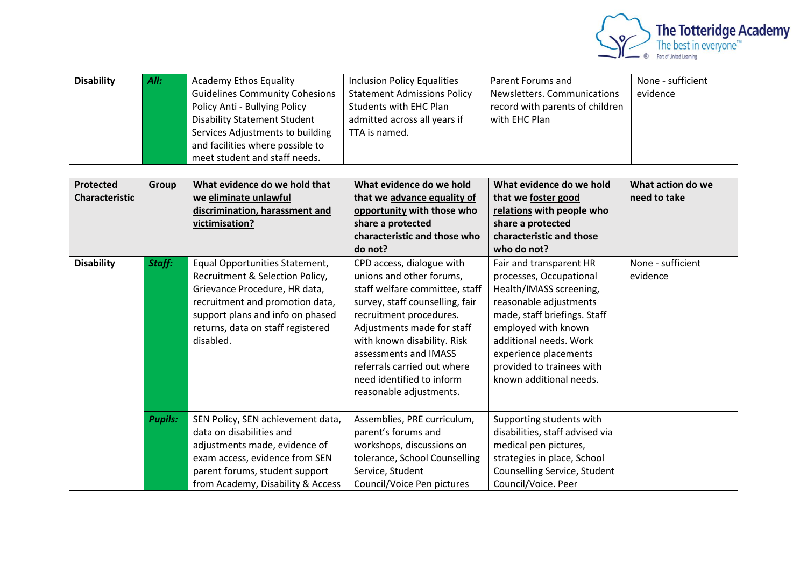

| <b>Disability</b>                         | All:           | <b>Academy Ethos Equality</b><br><b>Guidelines Community Cohesions</b><br>Policy Anti - Bullying Policy<br><b>Disability Statement Student</b><br>Services Adjustments to building<br>and facilities where possible to<br>meet student and staff needs. | <b>Inclusion Policy Equalities</b><br><b>Statement Admissions Policy</b><br><b>Students with EHC Plan</b><br>admitted across all years if<br>TTA is named.                                                                                                                                                                         | Parent Forums and<br>Newsletters. Communications<br>record with parents of children<br>with EHC Plan                                                                                                                                                                      | None - sufficient<br>evidence     |
|-------------------------------------------|----------------|---------------------------------------------------------------------------------------------------------------------------------------------------------------------------------------------------------------------------------------------------------|------------------------------------------------------------------------------------------------------------------------------------------------------------------------------------------------------------------------------------------------------------------------------------------------------------------------------------|---------------------------------------------------------------------------------------------------------------------------------------------------------------------------------------------------------------------------------------------------------------------------|-----------------------------------|
| <b>Protected</b><br><b>Characteristic</b> | Group          | What evidence do we hold that<br>we eliminate unlawful<br>discrimination, harassment and<br>victimisation?                                                                                                                                              | What evidence do we hold<br>that we advance equality of<br>opportunity with those who<br>share a protected<br>characteristic and those who<br>do not?                                                                                                                                                                              | What evidence do we hold<br>that we foster good<br>relations with people who<br>share a protected<br>characteristic and those<br>who do not?                                                                                                                              | What action do we<br>need to take |
| <b>Disability</b>                         | Staff:         | Equal Opportunities Statement,<br>Recruitment & Selection Policy,<br>Grievance Procedure, HR data,<br>recruitment and promotion data,<br>support plans and info on phased<br>returns, data on staff registered<br>disabled.                             | CPD access, dialogue with<br>unions and other forums,<br>staff welfare committee, staff<br>survey, staff counselling, fair<br>recruitment procedures.<br>Adjustments made for staff<br>with known disability. Risk<br>assessments and IMASS<br>referrals carried out where<br>need identified to inform<br>reasonable adjustments. | Fair and transparent HR<br>processes, Occupational<br>Health/IMASS screening,<br>reasonable adjustments<br>made, staff briefings. Staff<br>employed with known<br>additional needs. Work<br>experience placements<br>provided to trainees with<br>known additional needs. | None - sufficient<br>evidence     |
|                                           | <b>Pupils:</b> | SEN Policy, SEN achievement data,<br>data on disabilities and<br>adjustments made, evidence of<br>exam access, evidence from SEN<br>parent forums, student support<br>from Academy, Disability & Access                                                 | Assemblies, PRE curriculum,<br>parent's forums and<br>workshops, discussions on<br>tolerance, School Counselling<br>Service, Student<br>Council/Voice Pen pictures                                                                                                                                                                 | Supporting students with<br>disabilities, staff advised via<br>medical pen pictures,<br>strategies in place, School<br>Counselling Service, Student<br>Council/Voice. Peer                                                                                                |                                   |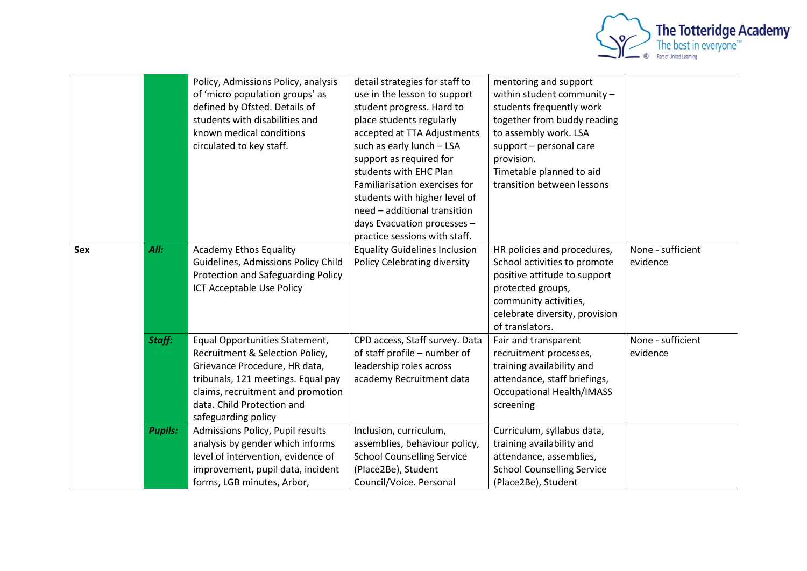

|     |                | Policy, Admissions Policy, analysis<br>of 'micro population groups' as<br>defined by Ofsted. Details of<br>students with disabilities and<br>known medical conditions<br>circulated to key staff.                                  | detail strategies for staff to<br>use in the lesson to support<br>student progress. Hard to<br>place students regularly<br>accepted at TTA Adjustments<br>such as early lunch - LSA<br>support as required for<br>students with EHC Plan<br>Familiarisation exercises for<br>students with higher level of<br>need - additional transition<br>days Evacuation processes -<br>practice sessions with staff. | mentoring and support<br>within student community -<br>students frequently work<br>together from buddy reading<br>to assembly work. LSA<br>support - personal care<br>provision.<br>Timetable planned to aid<br>transition between lessons |                               |
|-----|----------------|------------------------------------------------------------------------------------------------------------------------------------------------------------------------------------------------------------------------------------|------------------------------------------------------------------------------------------------------------------------------------------------------------------------------------------------------------------------------------------------------------------------------------------------------------------------------------------------------------------------------------------------------------|--------------------------------------------------------------------------------------------------------------------------------------------------------------------------------------------------------------------------------------------|-------------------------------|
| Sex | All:           | <b>Academy Ethos Equality</b><br>Guidelines, Admissions Policy Child<br>Protection and Safeguarding Policy<br><b>ICT Acceptable Use Policy</b>                                                                                     | <b>Equality Guidelines Inclusion</b><br><b>Policy Celebrating diversity</b>                                                                                                                                                                                                                                                                                                                                | HR policies and procedures,<br>School activities to promote<br>positive attitude to support<br>protected groups,<br>community activities,<br>celebrate diversity, provision<br>of translators.                                             | None - sufficient<br>evidence |
|     | Staff:         | Equal Opportunities Statement,<br>Recruitment & Selection Policy,<br>Grievance Procedure, HR data,<br>tribunals, 121 meetings. Equal pay<br>claims, recruitment and promotion<br>data. Child Protection and<br>safeguarding policy | CPD access, Staff survey. Data<br>of staff profile - number of<br>leadership roles across<br>academy Recruitment data                                                                                                                                                                                                                                                                                      | Fair and transparent<br>recruitment processes,<br>training availability and<br>attendance, staff briefings,<br><b>Occupational Health/IMASS</b><br>screening                                                                               | None - sufficient<br>evidence |
|     | <b>Pupils:</b> | Admissions Policy, Pupil results<br>analysis by gender which informs<br>level of intervention, evidence of<br>improvement, pupil data, incident<br>forms, LGB minutes, Arbor,                                                      | Inclusion, curriculum,<br>assemblies, behaviour policy,<br><b>School Counselling Service</b><br>(Place2Be), Student<br>Council/Voice. Personal                                                                                                                                                                                                                                                             | Curriculum, syllabus data,<br>training availability and<br>attendance, assemblies,<br><b>School Counselling Service</b><br>(Place2Be), Student                                                                                             |                               |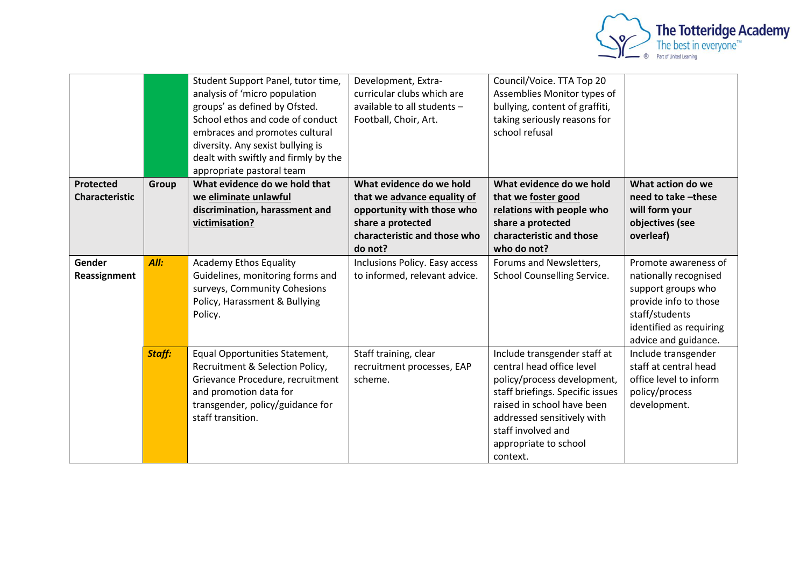

|                                    |        | Student Support Panel, tutor time,<br>analysis of 'micro population<br>groups' as defined by Ofsted.<br>School ethos and code of conduct<br>embraces and promotes cultural<br>diversity. Any sexist bullying is<br>dealt with swiftly and firmly by the<br>appropriate pastoral team | Development, Extra-<br>curricular clubs which are<br>available to all students -<br>Football, Choir, Art.                                             | Council/Voice. TTA Top 20<br>Assemblies Monitor types of<br>bullying, content of graffiti,<br>taking seriously reasons for<br>school refusal                                                                                                        |                                                                                                                                                                   |
|------------------------------------|--------|--------------------------------------------------------------------------------------------------------------------------------------------------------------------------------------------------------------------------------------------------------------------------------------|-------------------------------------------------------------------------------------------------------------------------------------------------------|-----------------------------------------------------------------------------------------------------------------------------------------------------------------------------------------------------------------------------------------------------|-------------------------------------------------------------------------------------------------------------------------------------------------------------------|
| Protected<br><b>Characteristic</b> | Group  | What evidence do we hold that<br>we eliminate unlawful<br>discrimination, harassment and<br>victimisation?                                                                                                                                                                           | What evidence do we hold<br>that we advance equality of<br>opportunity with those who<br>share a protected<br>characteristic and those who<br>do not? | What evidence do we hold<br>that we foster good<br>relations with people who<br>share a protected<br>characteristic and those<br>who do not?                                                                                                        | What action do we<br>need to take -these<br>will form your<br>objectives (see<br>overleaf)                                                                        |
| Gender<br>Reassignment             | All:   | <b>Academy Ethos Equality</b><br>Guidelines, monitoring forms and<br>surveys, Community Cohesions<br>Policy, Harassment & Bullying<br>Policy.                                                                                                                                        | Inclusions Policy. Easy access<br>to informed, relevant advice.                                                                                       | Forums and Newsletters,<br>School Counselling Service.                                                                                                                                                                                              | Promote awareness of<br>nationally recognised<br>support groups who<br>provide info to those<br>staff/students<br>identified as requiring<br>advice and guidance. |
|                                    | Staff: | Equal Opportunities Statement,<br>Recruitment & Selection Policy,<br>Grievance Procedure, recruitment<br>and promotion data for<br>transgender, policy/guidance for<br>staff transition.                                                                                             | Staff training, clear<br>recruitment processes, EAP<br>scheme.                                                                                        | Include transgender staff at<br>central head office level<br>policy/process development,<br>staff briefings. Specific issues<br>raised in school have been<br>addressed sensitively with<br>staff involved and<br>appropriate to school<br>context. | Include transgender<br>staff at central head<br>office level to inform<br>policy/process<br>development.                                                          |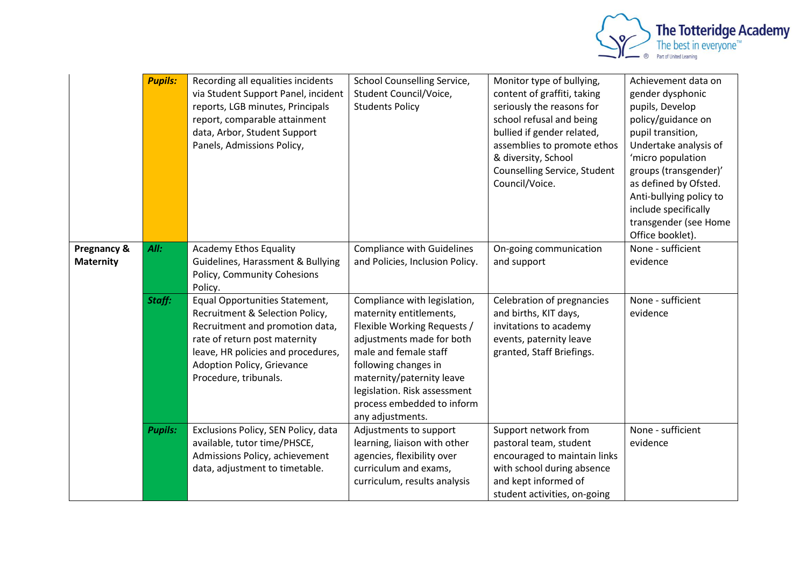

|                                 | <b>Pupils:</b> | Recording all equalities incidents<br>via Student Support Panel, incident<br>reports, LGB minutes, Principals<br>report, comparable attainment<br>data, Arbor, Student Support<br>Panels, Admissions Policy,                              | School Counselling Service,<br>Student Council/Voice,<br><b>Students Policy</b>                                                                                                                                                                                                     | Monitor type of bullying,<br>content of graffiti, taking<br>seriously the reasons for<br>school refusal and being<br>bullied if gender related,<br>assemblies to promote ethos<br>& diversity, School<br>Counselling Service, Student<br>Council/Voice. | Achievement data on<br>gender dysphonic<br>pupils, Develop<br>policy/guidance on<br>pupil transition,<br>Undertake analysis of<br>'micro population<br>groups (transgender)'<br>as defined by Ofsted.<br>Anti-bullying policy to<br>include specifically<br>transgender (see Home<br>Office booklet). |
|---------------------------------|----------------|-------------------------------------------------------------------------------------------------------------------------------------------------------------------------------------------------------------------------------------------|-------------------------------------------------------------------------------------------------------------------------------------------------------------------------------------------------------------------------------------------------------------------------------------|---------------------------------------------------------------------------------------------------------------------------------------------------------------------------------------------------------------------------------------------------------|-------------------------------------------------------------------------------------------------------------------------------------------------------------------------------------------------------------------------------------------------------------------------------------------------------|
| Pregnancy &<br><b>Maternity</b> | All:           | <b>Academy Ethos Equality</b><br>Guidelines, Harassment & Bullying<br>Policy, Community Cohesions<br>Policy.                                                                                                                              | <b>Compliance with Guidelines</b><br>and Policies, Inclusion Policy.                                                                                                                                                                                                                | On-going communication<br>and support                                                                                                                                                                                                                   | None - sufficient<br>evidence                                                                                                                                                                                                                                                                         |
|                                 | Staff:         | Equal Opportunities Statement,<br>Recruitment & Selection Policy,<br>Recruitment and promotion data,<br>rate of return post maternity<br>leave, HR policies and procedures,<br><b>Adoption Policy, Grievance</b><br>Procedure, tribunals. | Compliance with legislation,<br>maternity entitlements,<br>Flexible Working Requests /<br>adjustments made for both<br>male and female staff<br>following changes in<br>maternity/paternity leave<br>legislation. Risk assessment<br>process embedded to inform<br>any adjustments. | Celebration of pregnancies<br>and births, KIT days,<br>invitations to academy<br>events, paternity leave<br>granted, Staff Briefings.                                                                                                                   | None - sufficient<br>evidence                                                                                                                                                                                                                                                                         |
|                                 | <b>Pupils:</b> | Exclusions Policy, SEN Policy, data<br>available, tutor time/PHSCE,<br>Admissions Policy, achievement<br>data, adjustment to timetable.                                                                                                   | Adjustments to support<br>learning, liaison with other<br>agencies, flexibility over<br>curriculum and exams,<br>curriculum, results analysis                                                                                                                                       | Support network from<br>pastoral team, student<br>encouraged to maintain links<br>with school during absence<br>and kept informed of<br>student activities, on-going                                                                                    | None - sufficient<br>evidence                                                                                                                                                                                                                                                                         |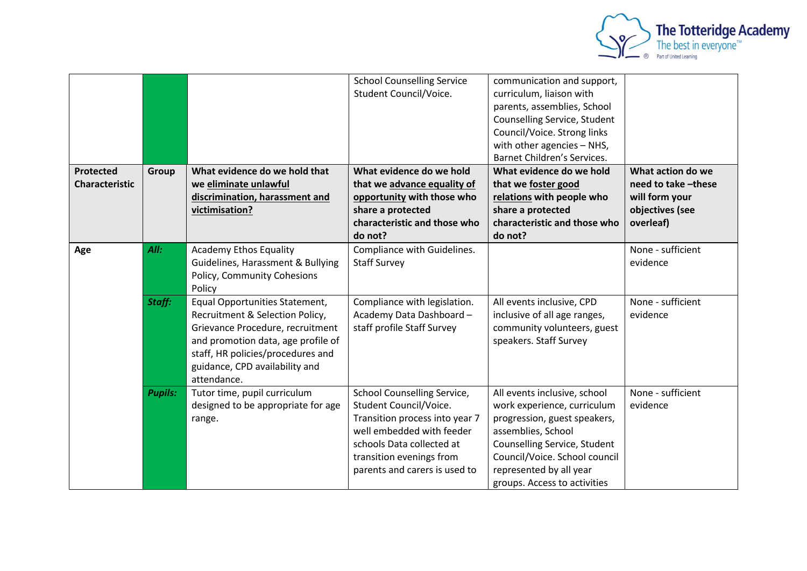

|                                    |                |                                                                                                                                                                                                                                   | <b>School Counselling Service</b><br>Student Council/Voice.                                                                                                                                                           | communication and support,<br>curriculum, liaison with<br>parents, assemblies, School<br>Counselling Service, Student<br>Council/Voice. Strong links<br>with other agencies - NHS,<br>Barnet Children's Services.                             |                                                                                            |
|------------------------------------|----------------|-----------------------------------------------------------------------------------------------------------------------------------------------------------------------------------------------------------------------------------|-----------------------------------------------------------------------------------------------------------------------------------------------------------------------------------------------------------------------|-----------------------------------------------------------------------------------------------------------------------------------------------------------------------------------------------------------------------------------------------|--------------------------------------------------------------------------------------------|
| Protected<br><b>Characteristic</b> | Group          | What evidence do we hold that<br>we eliminate unlawful<br>discrimination, harassment and<br>victimisation?                                                                                                                        | What evidence do we hold<br>that we advance equality of<br>opportunity with those who<br>share a protected<br>characteristic and those who<br>do not?                                                                 | What evidence do we hold<br>that we foster good<br>relations with people who<br>share a protected<br>characteristic and those who<br>do not?                                                                                                  | What action do we<br>need to take -these<br>will form your<br>objectives (see<br>overleaf) |
| Age                                | All:           | <b>Academy Ethos Equality</b><br>Guidelines, Harassment & Bullying<br>Policy, Community Cohesions<br>Policy                                                                                                                       | Compliance with Guidelines.<br><b>Staff Survey</b>                                                                                                                                                                    |                                                                                                                                                                                                                                               | None - sufficient<br>evidence                                                              |
|                                    | Staff:         | Equal Opportunities Statement,<br>Recruitment & Selection Policy,<br>Grievance Procedure, recruitment<br>and promotion data, age profile of<br>staff, HR policies/procedures and<br>guidance, CPD availability and<br>attendance. | Compliance with legislation.<br>Academy Data Dashboard-<br>staff profile Staff Survey                                                                                                                                 | All events inclusive, CPD<br>inclusive of all age ranges,<br>community volunteers, guest<br>speakers. Staff Survey                                                                                                                            | None - sufficient<br>evidence                                                              |
|                                    | <b>Pupils:</b> | Tutor time, pupil curriculum<br>designed to be appropriate for age<br>range.                                                                                                                                                      | <b>School Counselling Service,</b><br>Student Council/Voice.<br>Transition process into year 7<br>well embedded with feeder<br>schools Data collected at<br>transition evenings from<br>parents and carers is used to | All events inclusive, school<br>work experience, curriculum<br>progression, guest speakers,<br>assemblies, School<br>Counselling Service, Student<br>Council/Voice. School council<br>represented by all year<br>groups. Access to activities | None - sufficient<br>evidence                                                              |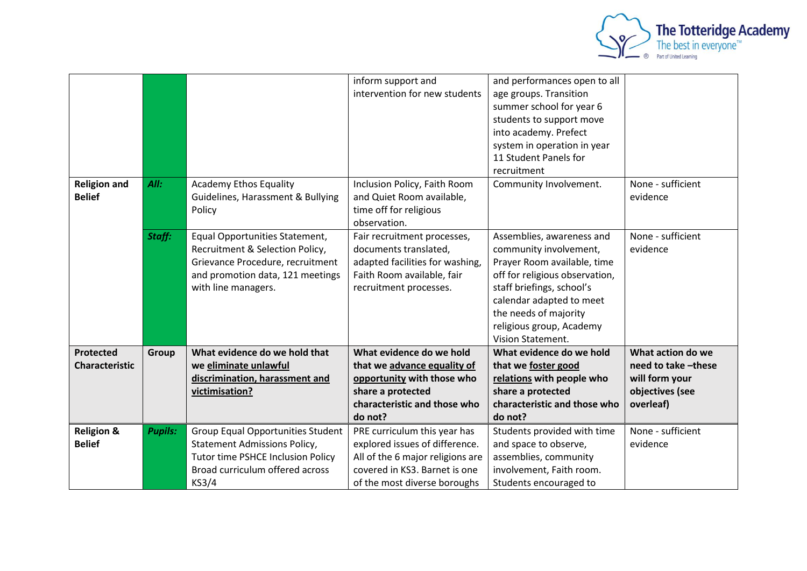

|                       |                |                                     | inform support and               | and performances open to all   |                    |
|-----------------------|----------------|-------------------------------------|----------------------------------|--------------------------------|--------------------|
|                       |                |                                     | intervention for new students    | age groups. Transition         |                    |
|                       |                |                                     |                                  | summer school for year 6       |                    |
|                       |                |                                     |                                  | students to support move       |                    |
|                       |                |                                     |                                  | into academy. Prefect          |                    |
|                       |                |                                     |                                  | system in operation in year    |                    |
|                       |                |                                     |                                  | 11 Student Panels for          |                    |
|                       |                |                                     |                                  | recruitment                    |                    |
| <b>Religion and</b>   | All:           | <b>Academy Ethos Equality</b>       | Inclusion Policy, Faith Room     | Community Involvement.         | None - sufficient  |
| <b>Belief</b>         |                | Guidelines, Harassment & Bullying   | and Quiet Room available,        |                                | evidence           |
|                       |                | Policy                              | time off for religious           |                                |                    |
|                       |                |                                     | observation.                     |                                |                    |
|                       | Staff:         | Equal Opportunities Statement,      | Fair recruitment processes,      | Assemblies, awareness and      | None - sufficient  |
|                       |                | Recruitment & Selection Policy,     | documents translated,            | community involvement,         | evidence           |
|                       |                | Grievance Procedure, recruitment    | adapted facilities for washing,  | Prayer Room available, time    |                    |
|                       |                | and promotion data, 121 meetings    | Faith Room available, fair       | off for religious observation, |                    |
|                       |                | with line managers.                 | recruitment processes.           | staff briefings, school's      |                    |
|                       |                |                                     |                                  | calendar adapted to meet       |                    |
|                       |                |                                     |                                  | the needs of majority          |                    |
|                       |                |                                     |                                  | religious group, Academy       |                    |
|                       |                |                                     |                                  | <b>Vision Statement.</b>       |                    |
| Protected             | Group          | What evidence do we hold that       | What evidence do we hold         | What evidence do we hold       | What action do we  |
| <b>Characteristic</b> |                | we eliminate unlawful               | that we advance equality of      | that we foster good            | need to take-these |
|                       |                | discrimination, harassment and      | opportunity with those who       | relations with people who      | will form your     |
|                       |                | victimisation?                      | share a protected                | share a protected              | objectives (see    |
|                       |                |                                     | characteristic and those who     | characteristic and those who   | overleaf)          |
|                       |                |                                     | do not?                          | do not?                        |                    |
| <b>Religion &amp;</b> | <b>Pupils:</b> | Group Equal Opportunities Student   | PRE curriculum this year has     | Students provided with time    | None - sufficient  |
| <b>Belief</b>         |                | <b>Statement Admissions Policy,</b> | explored issues of difference.   | and space to observe,          | evidence           |
|                       |                | Tutor time PSHCE Inclusion Policy   | All of the 6 major religions are | assemblies, community          |                    |
|                       |                | Broad curriculum offered across     | covered in KS3. Barnet is one    | involvement, Faith room.       |                    |
|                       |                | KS3/4                               | of the most diverse boroughs     | Students encouraged to         |                    |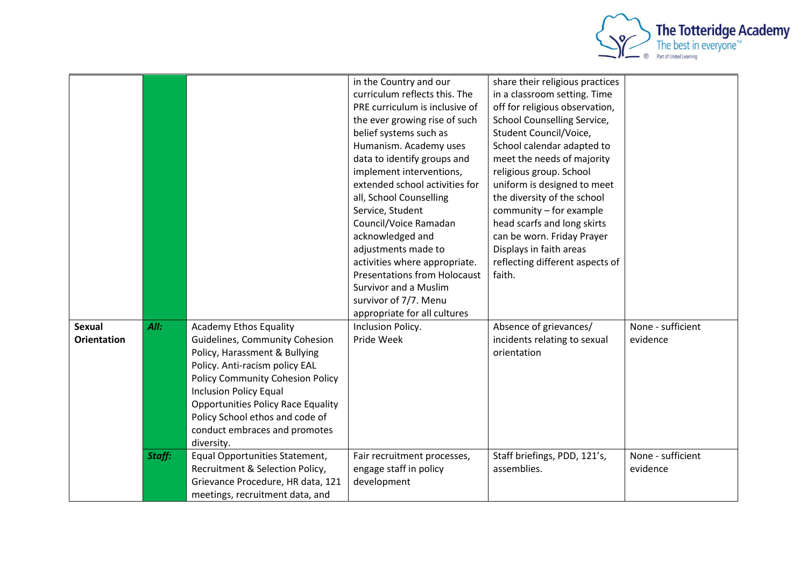

|                    |        |                                           | in the Country and our              | share their religious practices |                   |
|--------------------|--------|-------------------------------------------|-------------------------------------|---------------------------------|-------------------|
|                    |        |                                           | curriculum reflects this. The       | in a classroom setting. Time    |                   |
|                    |        |                                           | PRE curriculum is inclusive of      | off for religious observation,  |                   |
|                    |        |                                           | the ever growing rise of such       | School Counselling Service,     |                   |
|                    |        |                                           | belief systems such as              | Student Council/Voice,          |                   |
|                    |        |                                           | Humanism. Academy uses              | School calendar adapted to      |                   |
|                    |        |                                           | data to identify groups and         | meet the needs of majority      |                   |
|                    |        |                                           | implement interventions,            | religious group. School         |                   |
|                    |        |                                           | extended school activities for      | uniform is designed to meet     |                   |
|                    |        |                                           | all, School Counselling             | the diversity of the school     |                   |
|                    |        |                                           | Service, Student                    | community - for example         |                   |
|                    |        |                                           | Council/Voice Ramadan               | head scarfs and long skirts     |                   |
|                    |        |                                           | acknowledged and                    | can be worn. Friday Prayer      |                   |
|                    |        |                                           | adjustments made to                 | Displays in faith areas         |                   |
|                    |        |                                           | activities where appropriate.       | reflecting different aspects of |                   |
|                    |        |                                           | <b>Presentations from Holocaust</b> | faith.                          |                   |
|                    |        |                                           | Survivor and a Muslim               |                                 |                   |
|                    |        |                                           | survivor of 7/7. Menu               |                                 |                   |
|                    |        |                                           | appropriate for all cultures        |                                 |                   |
| <b>Sexual</b>      | All:   | <b>Academy Ethos Equality</b>             | Inclusion Policy.                   | Absence of grievances/          | None - sufficient |
| <b>Orientation</b> |        | Guidelines, Community Cohesion            | Pride Week                          | incidents relating to sexual    | evidence          |
|                    |        | Policy, Harassment & Bullying             |                                     | orientation                     |                   |
|                    |        | Policy. Anti-racism policy EAL            |                                     |                                 |                   |
|                    |        | <b>Policy Community Cohesion Policy</b>   |                                     |                                 |                   |
|                    |        | <b>Inclusion Policy Equal</b>             |                                     |                                 |                   |
|                    |        | <b>Opportunities Policy Race Equality</b> |                                     |                                 |                   |
|                    |        | Policy School ethos and code of           |                                     |                                 |                   |
|                    |        | conduct embraces and promotes             |                                     |                                 |                   |
|                    |        | diversity.                                |                                     |                                 |                   |
|                    | Staff: | Equal Opportunities Statement,            | Fair recruitment processes,         | Staff briefings, PDD, 121's,    | None - sufficient |
|                    |        | Recruitment & Selection Policy,           | engage staff in policy              | assemblies.                     | evidence          |
|                    |        | Grievance Procedure, HR data, 121         | development                         |                                 |                   |
|                    |        |                                           |                                     |                                 |                   |
|                    |        | meetings, recruitment data, and           |                                     |                                 |                   |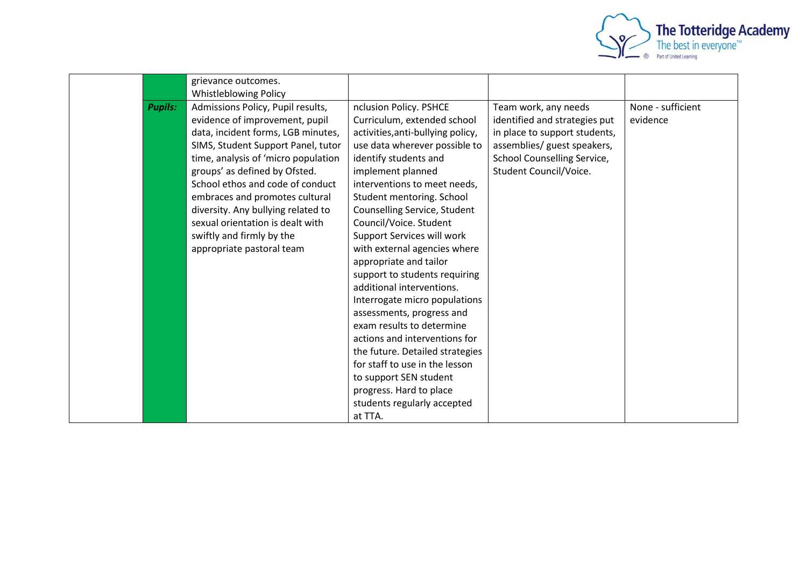

|                | grievance outcomes.                 |                                   |                               |                   |
|----------------|-------------------------------------|-----------------------------------|-------------------------------|-------------------|
|                | <b>Whistleblowing Policy</b>        |                                   |                               |                   |
| <b>Pupils:</b> | Admissions Policy, Pupil results,   | nclusion Policy. PSHCE            | Team work, any needs          | None - sufficient |
|                | evidence of improvement, pupil      | Curriculum, extended school       | identified and strategies put | evidence          |
|                | data, incident forms, LGB minutes,  | activities, anti-bullying policy, | in place to support students, |                   |
|                | SIMS, Student Support Panel, tutor  | use data wherever possible to     | assemblies/ guest speakers,   |                   |
|                | time, analysis of 'micro population | identify students and             | School Counselling Service,   |                   |
|                | groups' as defined by Ofsted.       | implement planned                 | Student Council/Voice.        |                   |
|                | School ethos and code of conduct    | interventions to meet needs,      |                               |                   |
|                | embraces and promotes cultural      | Student mentoring. School         |                               |                   |
|                | diversity. Any bullying related to  | Counselling Service, Student      |                               |                   |
|                | sexual orientation is dealt with    | Council/Voice. Student            |                               |                   |
|                | swiftly and firmly by the           | Support Services will work        |                               |                   |
|                | appropriate pastoral team           | with external agencies where      |                               |                   |
|                |                                     | appropriate and tailor            |                               |                   |
|                |                                     | support to students requiring     |                               |                   |
|                |                                     | additional interventions.         |                               |                   |
|                |                                     | Interrogate micro populations     |                               |                   |
|                |                                     | assessments, progress and         |                               |                   |
|                |                                     | exam results to determine         |                               |                   |
|                |                                     | actions and interventions for     |                               |                   |
|                |                                     | the future. Detailed strategies   |                               |                   |
|                |                                     | for staff to use in the lesson    |                               |                   |
|                |                                     | to support SEN student            |                               |                   |
|                |                                     | progress. Hard to place           |                               |                   |
|                |                                     | students regularly accepted       |                               |                   |
|                |                                     | at TTA.                           |                               |                   |
|                |                                     |                                   |                               |                   |